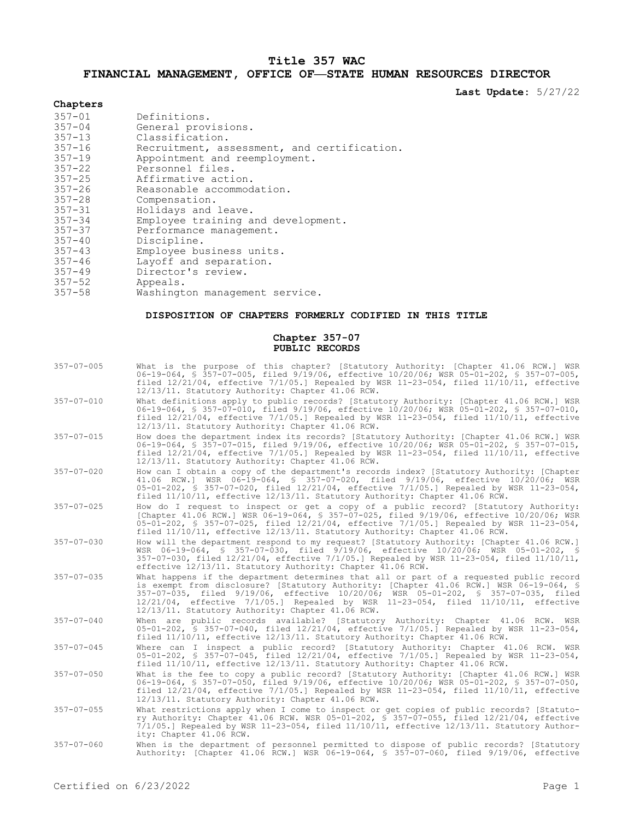# **Title 357 WAC**

# **FINANCIAL MANAGEMENT, OFFICE OF—STATE HUMAN RESOURCES DIRECTOR**

**Last Update:** 5/27/22

# **Chapters**

| $357 - 01$ | Definitions.                                |
|------------|---------------------------------------------|
| $357 - 04$ | General provisions.                         |
| $357 - 13$ | Classification.                             |
| $357 - 16$ | Recruitment, assessment, and certification. |
| $357 - 19$ | Appointment and reemployment.               |
| $357 - 22$ | Personnel files.                            |
| $357 - 25$ | Affirmative action.                         |
| $357 - 26$ | Reasonable accommodation.                   |
| $357 - 28$ | Compensation.                               |
| $357 - 31$ | Holidays and leave.                         |
| $357 - 34$ | Employee training and development.          |
| $357 - 37$ | Performance management.                     |
| $357 - 40$ | Discipline.                                 |
| $357 - 43$ | Employee business units.                    |
| $357 - 46$ | Layoff and separation.                      |
| $357 - 49$ | Director's review.                          |
| $357 - 52$ | Appeals.                                    |
| $357 - 58$ | Washington management service.              |
|            |                                             |

# **DISPOSITION OF CHAPTERS FORMERLY CODIFIED IN THIS TITLE**

### **Chapter 357-07 PUBLIC RECORDS**

| $357 - 07 - 005$ | What is the purpose of this chapter? [Statutory Authority: [Chapter 41.06 RCW.] WSR<br>06-19-064, \$ 357-07-005, filed 9/19/06, effective 10/20/06; WSR 05-01-202, \$ 357-07-005,<br>filed $12/21/04$ , effective $7/1/05$ .] Repealed by WSR 11-23-054, filed $11/10/11$ , effective<br>12/13/11. Statutory Authority: Chapter 41.06 RCW.                                                                                |
|------------------|---------------------------------------------------------------------------------------------------------------------------------------------------------------------------------------------------------------------------------------------------------------------------------------------------------------------------------------------------------------------------------------------------------------------------|
| $357 - 07 - 010$ | What definitions apply to public records? [Statutory Authority: [Chapter 41.06 RCW.] WSR<br>06-19-064, \$ 357-07-010, filed 9/19/06, effective 10/20/06; WSR 05-01-202, \$ 357-07-010,<br>filed $12/21/04$ , effective $7/1/05$ . Repealed by WSR 11-23-054, filed $11/10/11$ , effective<br>12/13/11. Statutory Authority: Chapter 41.06 RCW.                                                                            |
| $357 - 07 - 015$ | How does the department index its records? [Statutory Authority: [Chapter 41.06 RCW.] WSR<br>06-19-064, \$ 357-07-015, filed 9/19/06, effective 10/20/06; WSR 05-01-202, \$ 357-07-015,<br>filed $12/21/04$ , effective $7/1/05$ . Repealed by WSR 11-23-054, filed $11/10/11$ , effective<br>12/13/11. Statutory Authority: Chapter 41.06 RCW.                                                                           |
| $357 - 07 - 020$ | How can I obtain a copy of the department's records index? [Statutory Authority: [Chapter<br>41.06 RCW.] WSR 06-19-064, § 357-07-020, filed 9/19/06, effective 10/20/06; WSR<br>05-01-202, § 357-07-020, filed 12/21/04, effective 7/1/05.] Repealed by WSR 11-23-054,<br>filed 11/10/11, effective 12/13/11. Statutory Authority: Chapter 41.06 RCW.                                                                     |
| $357 - 07 - 025$ | How do I request to inspect or get a copy of a public record? [Statutory Authority:<br>[Chapter 41.06 RCW.] WSR 06-19-064, \$ 357-07-025, filed 9/19/06, effective 10/20/06; WSR<br>05-01-202, § 357-07-025, filed 12/21/04, effective 7/1/05.] Repealed by WSR 11-23-054,<br>filed 11/10/11, effective 12/13/11. Statutory Authority: Chapter 41.06 RCW.                                                                 |
| $357 - 07 - 030$ | How will the department respond to my request? [Statutory Authority: [Chapter 41.06 RCW.]<br>WSR 06-19-064, § 357-07-030, filed 9/19/06, effective 10/20/06; WSR 05-01-202, §<br>357-07-030, filed 12/21/04, effective 7/1/05.1 Repealed by WSR 11-23-054, filed 11/10/11,<br>effective 12/13/11. Statutory Authority: Chapter 41.06 RCW.                                                                                 |
| $357 - 07 - 035$ | What happens if the department determines that all or part of a requested public record<br>is exempt from disclosure? [Statutory Authority: [Chapter 41.06 RCW.] WSR 06-19-064, \$<br>357-07-035, filed 9/19/06, effective 10/20/06; WSR 05-01-202, § 357-07-035, filed<br>$12/21/04$ , effective $7/1/05$ . Repealed by WSR 11-23-054, filed $11/10/11$ , effective<br>12/13/11. Statutory Authority: Chapter 41.06 RCW. |
| $357 - 07 - 040$ | When are public records available? [Statutory Authority: Chapter 41.06 RCW. WSR<br>05-01-202, § 357-07-040, filed 12/21/04, effective 7/1/05.] Repealed by WSR 11-23-054,<br>filed 11/10/11, effective 12/13/11. Statutory Authority: Chapter 41.06 RCW.                                                                                                                                                                  |
| $357 - 07 - 045$ | Where can I inspect a public record? [Statutory Authority: Chapter 41.06 RCW. WSR<br>05-01-202, § 357-07-045, filed 12/21/04, effective 7/1/05.] Repealed by WSR 11-23-054,<br>filed 11/10/11, effective 12/13/11. Statutory Authority: Chapter 41.06 RCW.                                                                                                                                                                |
| $357 - 07 - 050$ | What is the fee to copy a public record? [Statutory Authority: [Chapter 41.06 RCW.] WSR<br>06-19-064, § 357-07-050, filed 9/19/06, effective 10/20/06; WSR 05-01-202, § 357-07-050,<br>filed $12/21/04$ , effective $7/1/05$ . Repealed by WSR 11-23-054, filed $11/10/11$ , effective<br>12/13/11. Statutory Authority: Chapter 41.06 RCW.                                                                               |
| $357 - 07 - 055$ | What restrictions apply when I come to inspect or get copies of public records? [Statuto-<br>ry Authority: Chapter 41.06 RCW. WSR 05-01-202, § 357-07-055, filed 12/21/04, effective<br>$7/1/05$ . Repealed by WSR 11-23-054, filed $11/10/11$ , effective $12/13/11$ . Statutory Author-<br>ity: Chapter 41.06 RCW.                                                                                                      |
| $357 - 07 - 060$ | When is the department of personnel permitted to dispose of public records? [Statutory<br>Authority: [Chapter 41.06 RCW.] WSR 06-19-064, § 357-07-060, filed 9/19/06, effective                                                                                                                                                                                                                                           |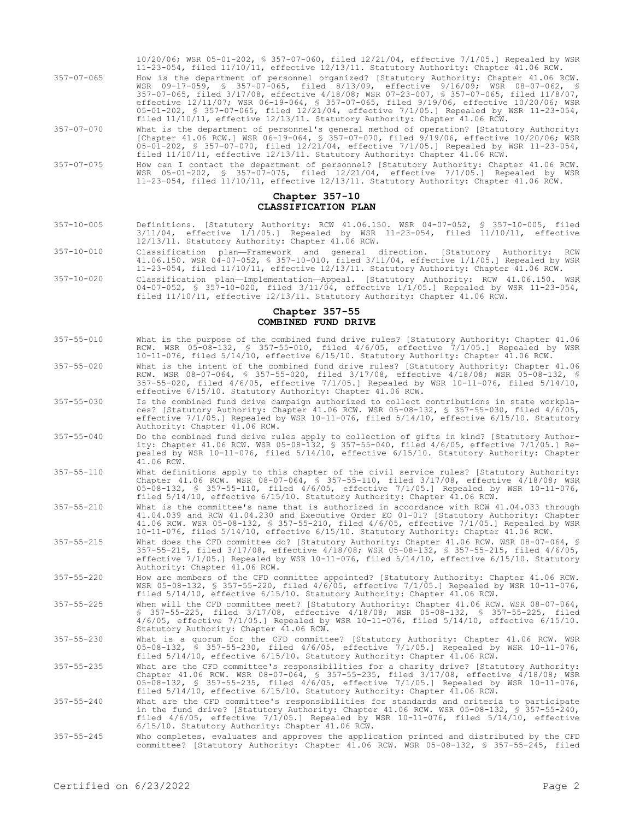|            | 10/20/06; WSR 05-01-202, § 357-07-060, filed 12/21/04, effective 7/1/05.] Repealed by WSR<br>$11-23-054$ , filed $11/10/11$ , effective $12/13/11$ . Statutory Authority: Chapter 41.06 RCW.                                                                                                                                                                                                                                                                                                                                               |
|------------|--------------------------------------------------------------------------------------------------------------------------------------------------------------------------------------------------------------------------------------------------------------------------------------------------------------------------------------------------------------------------------------------------------------------------------------------------------------------------------------------------------------------------------------------|
| 357-07-065 | How is the department of personnel organized? [Statutory Authority: Chapter 41.06 RCW.<br>WSR 09-17-059, § 357-07-065, filed 8/13/09, effective 9/16/09; WSR 08-07-062, §<br>357-07-065, filed 3/17/08, effective 4/18/08; WSR 07-23-007, § 357-07-065, filed 11/8/07,<br>effective 12/11/07; WSR 06-19-064, § 357-07-065, filed 9/19/06, effective 10/20/06; WSR<br>05-01-202, § 357-07-065, filed 12/21/04, effective 7/1/05.] Repealed by WSR 11-23-054,<br>filed 11/10/11, effective 12/13/11. Statutory Authority: Chapter 41.06 RCW. |
| 357-07-070 | What is the department of personnel's general method of operation? [Statutory Authority:<br>[Chapter 41.06 RCW.] WSR 06-19-064, § 357-07-070, filed 9/19/06, effective 10/20/06; WSR<br>05-01-202, § 357-07-070, filed $12/21/04$ , effective $7/1/05$ . Repealed by WSR 11-23-054,<br>filed 11/10/11, effective 12/13/11. Statutory Authority: Chapter 41.06 RCW.                                                                                                                                                                         |
| 357-07-075 | How can I contact the department of personnel? [Statutory Authority: Chapter 41.06 RCW.<br>WSR 05-01-202, § 357-07-075, filed 12/21/04, effective 7/1/05.] Repealed by WSR<br>$11-23-054$ , filed $11/10/11$ , effective $12/13/11$ . Statutory Authority: Chapter 41.06 RCW.                                                                                                                                                                                                                                                              |

#### **Chapter 357-10 CLASSIFICATION PLAN**

- 357-10-005 Definitions. [Statutory Authority: RCW 41.06.150. WSR 04-07-052, § 357-10-005, filed 3/11/04, effective 1/1/05.] Repealed by WSR 11-23-054, filed 11/10/11, effective 12/13/11. Statutory Authority: Chapter 41.06 RCW.
- 357-10-010 Classification plan—Framework and general direction. [Statutory Authority: RCW 41.06.150. WSR 04-07-052, § 357-10-010, filed 3/11/04, effective 1/1/05.] Repealed by WSR 11-23-054, filed 11/10/11, effective 12/13/11. Statutory Authority: Chapter 41.06 RCW.
- 357-10-020 Classification plan—Implementation—Appeal. [Statutory Authority: RCW 41.06.150. WSR 04-07-052, § 357-10-020, filed 3/11/04, effective 1/1/05.] Repealed by WSR 11-23-054, filed 11/10/11, effective 12/13/11. Statutory Authority: Chapter 41.06 RCW.

### **Chapter 357-55 COMBINED FUND DRIVE**

- 357-55-010 What is the purpose of the combined fund drive rules? [Statutory Authority: Chapter 41.06 RCW. WSR 05-08-132, § 357-55-010, filed 4/6/05, effective 7/1/05.] Repealed by WSR 10-11-076, filed 5/14/10, effective 6/15/10. Statutory Authority: Chapter 41.06 RCW.
- 357-55-020 What is the intent of the combined fund drive rules? [Statutory Authority: Chapter 41.06 RCW. WSR 08-07-064, § 357-55-020, filed 3/17/08, effective 4/18/08; WSR 05-08-132, § 357-55-020, filed 4/6/05, effective 7/1/05.] Repealed by WSR 10-11-076, filed 5/14/10, effective 6/15/10. Statutory Authority: Chapter 41.06 RCW.
- 357-55-030 Is the combined fund drive campaign authorized to collect contributions in state workplaces? [Statutory Authority: Chapter 41.06 RCW. WSR 05-08-132, § 357-55-030, filed 4/6/05, effective 7/1/05.] Repealed by WSR 10-11-076, filed 5/14/10, effective 6/15/10. Statutory Authority: Chapter 41.06 RCW.
- 357-55-040 Do the combined fund drive rules apply to collection of gifts in kind? [Statutory Authority: Chapter 41.06 RCW. WSR 05-08-132, § 357-55-040, filed 4/6/05, effective 7/1/05.] Repealed by WSR 10-11-076, filed 5/14/10, effective 6/15/10. Statutory Authority: Chapter 41.06 RCW.
- 357-55-110 What definitions apply to this chapter of the civil service rules? [Statutory Authority: Chapter 41.06 RCW. WSR 08-07-064, § 357-55-110, filed 3/17/08, effective 4/18/08; WSR 05-08-132, § 357-55-110, filed 4/6/05, effective 7/1/05.] Repealed by WSR 10-11-076, filed 5/14/10, effective 6/15/10. Statutory Authority: Chapter 41.06 RCW.
- 357-55-210 What is the committee's name that is authorized in accordance with RCW 41.04.033 through 41.04.039 and RCW 41.04.230 and Executive Order EO 01-01? [Statutory Authority: Chapter 41.06 RCW. WSR 05-08-132, § 357-55-210, filed 4/6/05, effective 7/1/05.] Repealed by WSR 10-11-076, filed 5/14/10, effective 6/15/10. Statutory Authority: Chapter 41.06 RCW.
- 357-55-215 What does the CFD committee do? [Statutory Authority: Chapter 41.06 RCW. WSR 08-07-064, § 357-55-215, filed 3/17/08, effective 4/18/08; WSR 05-08-132, § 357-55-215, filed 4/6/05, effective 7/1/05.] Repealed by WSR 10-11-076, filed 5/14/10, effective 6/15/10. Statutory Authority: Chapter 41.06 RCW.
- 357-55-220 How are members of the CFD committee appointed? [Statutory Authority: Chapter 41.06 RCW. WSR 05-08-132, § 357-55-220, filed 4/6/05, effective 7/1/05.] Repealed by WSR 10-11-076, filed 5/14/10, effective 6/15/10. Statutory Authority: Chapter 41.06 RCW.
- 357-55-225 When will the CFD committee meet? [Statutory Authority: Chapter 41.06 RCW. WSR 08-07-064, § 357-55-225, filed 3/17/08, effective 4/18/08; WSR 05-08-132, § 357-55-225, filed 4/6/05, effective 7/1/05.] Repealed by WSR 10-11-076, filed 5/14/10, effective 6/15/10. Statutory Authority: Chapter 41.06 RCW.
- 357-55-230 What is a quorum for the CFD committee? [Statutory Authority: Chapter 41.06 RCW. WSR 05-08-132, § 357-55-230, filed 4/6/05, effective 7/1/05.] Repealed by WSR 10-11-076, filed 5/14/10, effective 6/15/10. Statutory Authority: Chapter 41.06 RCW.
- 357-55-235 What are the CFD committee's responsibilities for a charity drive? [Statutory Authority: Chapter 41.06 RCW. WSR 08-07-064, § 357-55-235, filed 3/17/08, effective 4/18/08; WSR<br>05-08-132, § 357-55-235, filed 4/6/05, effective 7/1/05.] Repealed by WSR 10-11-076,<br>filed 5/14/10, effective 6/15/10. Statutory Authori
- 357-55-240 What are the CFD committee's responsibilities for standards and criteria to participate in the fund drive? [Statutory Authority: Chapter 41.06 RCW. WSR 05-08-132, § 357-55-240, filed 4/6/05, effective 7/1/05.] Repealed by WSR 10-11-076, filed 5/14/10, effective 6/15/10. Statutory Authority: Chapter 41.06 RCW.
- 357-55-245 Who completes, evaluates and approves the application printed and distributed by the CFD committee? [Statutory Authority: Chapter 41.06 RCW. WSR 05-08-132, § 357-55-245, filed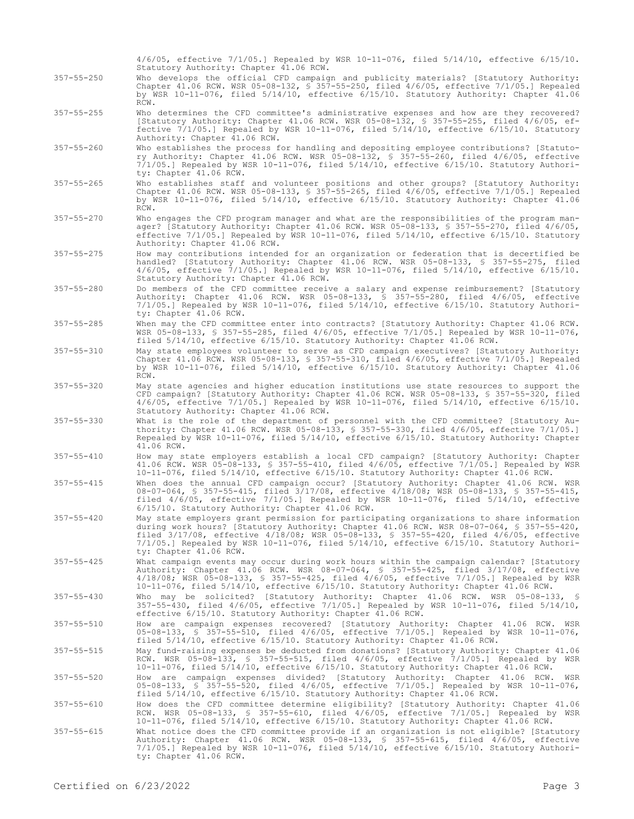|                  | $4/6/05$ , effective $7/1/05$ .] Repealed by WSR 10-11-076, filed $5/14/10$ , effective $6/15/10$ .<br>Statutory Authority: Chapter 41.06 RCW.                                                                                                                                                                                                                                                                          |
|------------------|-------------------------------------------------------------------------------------------------------------------------------------------------------------------------------------------------------------------------------------------------------------------------------------------------------------------------------------------------------------------------------------------------------------------------|
| $357 - 55 - 250$ | Who develops the official CFD campaign and publicity materials? [Statutory Authority:<br>Chapter 41.06 RCW. WSR 05-08-132, § 357-55-250, filed $4/6/05$ , effective 7/1/05.] Repealed<br>by WSR 10-11-076, filed 5/14/10, effective 6/15/10. Statutory Authority: Chapter 41.06<br>RCW.                                                                                                                                 |
| $357 - 55 - 255$ | Who determines the CFD committee's administrative expenses and how are they recovered?<br>[Statutory Authority: Chapter 41.06 RCW. WSR 05-08-132, § 357-55-255, filed 4/6/05, ef-<br>fective $7/1/05$ . Repealed by WSR 10-11-076, filed $5/14/10$ , effective $6/15/10$ . Statutory<br>Authority: Chapter 41.06 RCW.                                                                                                   |
| $357 - 55 - 260$ | Who establishes the process for handling and depositing employee contributions? [Statuto-<br>ry Authority: Chapter 41.06 RCW. WSR 05-08-132, \$ 357-55-260, filed 4/6/05, effective<br>$7/1/05$ . Repealed by WSR 10-11-076, filed $5/14/10$ , effective $6/15/10$ . Statutory Authori-<br>ty: Chapter 41.06 RCW.                                                                                                       |
| $357 - 55 - 265$ | Who establishes staff and volunteer positions and other groups? [Statutory Authority:<br>Chapter 41.06 RCW. WSR 05-08-133, § 357-55-265, filed 4/6/05, effective 7/1/05.] Repealed<br>by WSR 10-11-076, filed 5/14/10, effective 6/15/10. Statutory Authority: Chapter 41.06<br>RCW.                                                                                                                                    |
| $357 - 55 - 270$ | Who engages the CFD program manager and what are the responsibilities of the program man-<br>ager? [Statutory Authority: Chapter 41.06 RCW. WSR 05-08-133, \$ 357-55-270, filed 4/6/05,<br>effective $7/1/05$ .] Repealed by WSR 10-11-076, filed $5/14/10$ , effective $6/15/10$ . Statutory<br>Authority: Chapter 41.06 RCW.                                                                                          |
| $357 - 55 - 275$ | How may contributions intended for an organization or federation that is decertified be<br>handled? [Statutory Authority: Chapter 41.06 RCW. WSR 05-08-133, § 357-55-275, filed<br>$4/6/05$ , effective $7/1/05$ .] Repealed by WSR 10-11-076, filed $5/14/10$ , effective $6/15/10$ .<br>Statutory Authority: Chapter 41.06 RCW.                                                                                       |
| $357 - 55 - 280$ | Do members of the CFD committee receive a salary and expense reimbursement? [Statutory<br>Authority: Chapter 41.06 RCW. WSR 05-08-133, § 357-55-280, filed 4/6/05, effective<br>$7/1/05$ .] Repealed by WSR 10-11-076, filed $5/14/10$ , effective $6/15/10$ . Statutory Authori-<br>ty: Chapter 41.06 RCW.                                                                                                             |
| $357 - 55 - 285$ | When may the CFD committee enter into contracts? [Statutory Authority: Chapter 41.06 RCW.<br>WSR 05-08-133, § 357-55-285, filed 4/6/05, effective 7/1/05.] Repealed by WSR 10-11-076,<br>filed 5/14/10, effective 6/15/10. Statutory Authority: Chapter 41.06 RCW.                                                                                                                                                      |
| $357 - 55 - 310$ | May state employees volunteer to serve as CFD campaign executives? [Statutory Authority:<br>Chapter 41.06 RCW. WSR 05-08-133, § 357-55-310, filed $4/6/05$ , effective 7/1/05.] Repealed<br>by WSR 10-11-076, filed 5/14/10, effective 6/15/10. Statutory Authority: Chapter 41.06<br>RCW.                                                                                                                              |
| $357 - 55 - 320$ | May state agencies and higher education institutions use state resources to support the<br>CFD campaign? [Statutory Authority: Chapter 41.06 RCW. WSR 05-08-133, § 357-55-320, filed<br>4/6/05, effective 7/1/05.] Repealed by WSR 10-11-076, filed 5/14/10, effective 6/15/10.<br>Statutory Authority: Chapter 41.06 RCW.                                                                                              |
| $357 - 55 - 330$ | What is the role of the department of personnel with the CFD committee? [Statutory Au-<br>thority: Chapter 41.06 RCW. WSR 05-08-133, \$ 357-55-330, filed 4/6/05, effective 7/1/05.]<br>Repealed by WSR 10-11-076, filed 5/14/10, effective 6/15/10. Statutory Authority: Chapter<br>41.06 RCW.                                                                                                                         |
| $357 - 55 - 410$ | How may state employers establish a local CFD campaign? [Statutory Authority: Chapter<br>41.06 RCW. WSR 05-08-133, § 357-55-410, filed 4/6/05, effective 7/1/05.] Repealed by WSR<br>10-11-076, filed 5/14/10, effective 6/15/10. Statutory Authority: Chapter 41.06 RCW.                                                                                                                                               |
| $357 - 55 - 415$ | When does the annual CFD campaign occur? [Statutory Authority: Chapter 41.06 RCW. WSR<br>08-07-064, § 357-55-415, filed 3/17/08, effective 4/18/08; WSR 05-08-133, § 357-55-415,<br>filed $4/6/05$ , effective $7/1/05$ .] Repealed by WSR 10-11-076, filed $5/14/10$ , effective<br>6/15/10. Statutory Authority: Chapter 41.06 RCW.                                                                                   |
| $357 - 55 - 420$ | May state employers grant permission for participating organizations to share information<br>during work hours? [Statutory Authority: Chapter 41.06 RCW. WSR 08-07-064, § 357-55-420,<br>filed $3/17/08$ , effective $4/18/08$ ; WSR 05-08-133, § 357-55-420, filed $4/6/05$ , effective<br>$7/1/05$ .] Repealed by WSR 10-11-076, filed $5/14/10$ , effective $6/15/10$ . Statutory Authori-<br>ty: Chapter 41.06 RCW. |
| $357 - 55 - 425$ | What campaign events may occur during work hours within the campaign calendar? [Statutory<br>Authority: Chapter 41.06 RCW. WSR 08-07-064, \$ 357-55-425, filed 3/17/08, effective<br>4/18/08; WSR 05-08-133, § 357-55-425, filed 4/6/05, effective 7/1/05.] Repealed by WSR<br>10-11-076, filed 5/14/10, effective 6/15/10. Statutory Authority: Chapter 41.06 RCW.                                                     |
| $357 - 55 - 430$ | Who may be solicited? [Statutory Authority: Chapter 41.06 RCW. WSR 05-08-133, §<br>$357-55-430$ , filed $4/6/05$ , effective $7/1/05$ . Repealed by WSR 10-11-076, filed $5/14/10$ ,<br>effective 6/15/10. Statutory Authority: Chapter 41.06 RCW.                                                                                                                                                                      |
| $357 - 55 - 510$ | How are campaign expenses recovered? [Statutory Authority: Chapter 41.06 RCW. WSR<br>05-08-133, \$ 357-55-510, filed 4/6/05, effective 7/1/05.] Repealed by WSR 10-11-076,<br>filed 5/14/10, effective 6/15/10. Statutory Authority: Chapter 41.06 RCW.                                                                                                                                                                 |
| $357 - 55 - 515$ | May fund-raising expenses be deducted from donations? [Statutory Authority: Chapter 41.06<br>RCW. WSR 05-08-133, § 357-55-515, filed 4/6/05, effective 7/1/05.] Repealed by WSR<br>10-11-076, filed 5/14/10, effective 6/15/10. Statutory Authority: Chapter 41.06 RCW.                                                                                                                                                 |
| $357 - 55 - 520$ | How are campaign expenses divided? [Statutory Authority: Chapter 41.06 RCW. WSR<br>05-08-133, § 357-55-520, filed 4/6/05, effective 7/1/05.] Repealed by WSR 10-11-076,<br>filed 5/14/10, effective 6/15/10. Statutory Authority: Chapter 41.06 RCW.                                                                                                                                                                    |
| $357 - 55 - 610$ | How does the CFD committee determine eligibility? [Statutory Authority: Chapter 41.06<br>RCW. WSR 05-08-133, \$ 357-55-610, filed 4/6/05, effective 7/1/05.] Repealed by WSR<br>10-11-076, filed 5/14/10, effective 6/15/10. Statutory Authority: Chapter 41.06 RCW.                                                                                                                                                    |
| $357 - 55 - 615$ | What notice does the CFD committee provide if an organization is not eligible? [Statutory<br>Authority: Chapter 41.06 RCW. WSR 05-08-133, § 357-55-615, filed 4/6/05, effective<br>$7/1/05$ .] Repealed by WSR 10-11-076, filed $5/14/10$ , effective $6/15/10$ . Statutory Authori-<br>ty: Chapter 41.06 RCW.                                                                                                          |